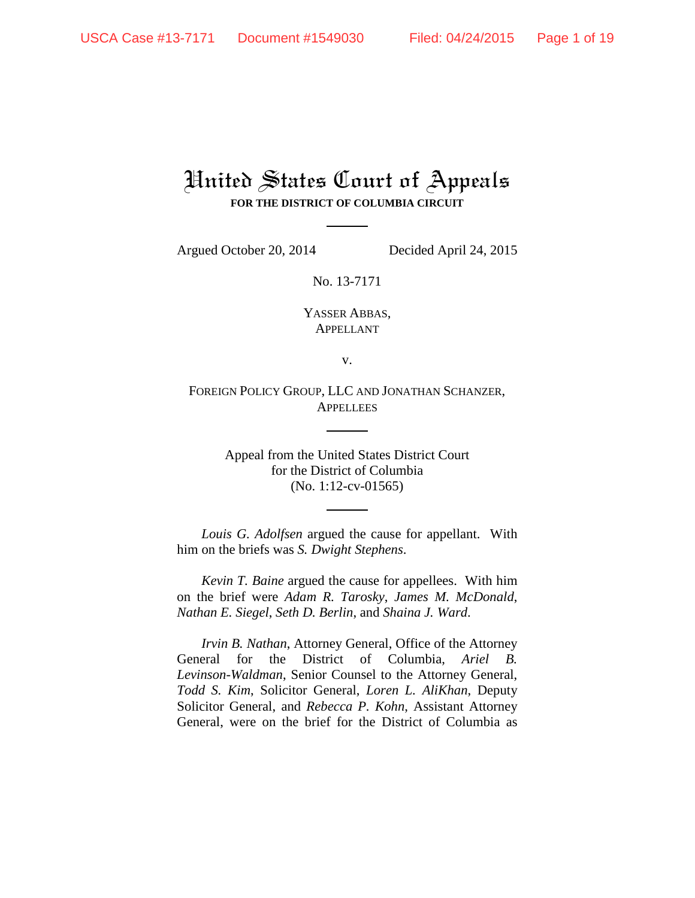## United States Court of Appeals **FOR THE DISTRICT OF COLUMBIA CIRCUIT**

Argued October 20, 2014 Decided April 24, 2015

No. 13-7171

YASSER ABBAS, APPELLANT

v.

FOREIGN POLICY GROUP, LLC AND JONATHAN SCHANZER, **APPELLEES** 

> Appeal from the United States District Court for the District of Columbia (No. 1:12-cv-01565)

*Louis G. Adolfsen* argued the cause for appellant. With him on the briefs was *S. Dwight Stephens*.

*Kevin T. Baine* argued the cause for appellees. With him on the brief were *Adam R. Tarosky*, *James M. McDonald*, *Nathan E. Siegel*, *Seth D. Berlin*, and *Shaina J. Ward*.

*Irvin B. Nathan*, Attorney General, Office of the Attorney General for the District of Columbia, *Ariel B. Levinson-Waldman*, Senior Counsel to the Attorney General, *Todd S. Kim*, Solicitor General, *Loren L. AliKhan*, Deputy Solicitor General, and *Rebecca P. Kohn*, Assistant Attorney General, were on the brief for the District of Columbia as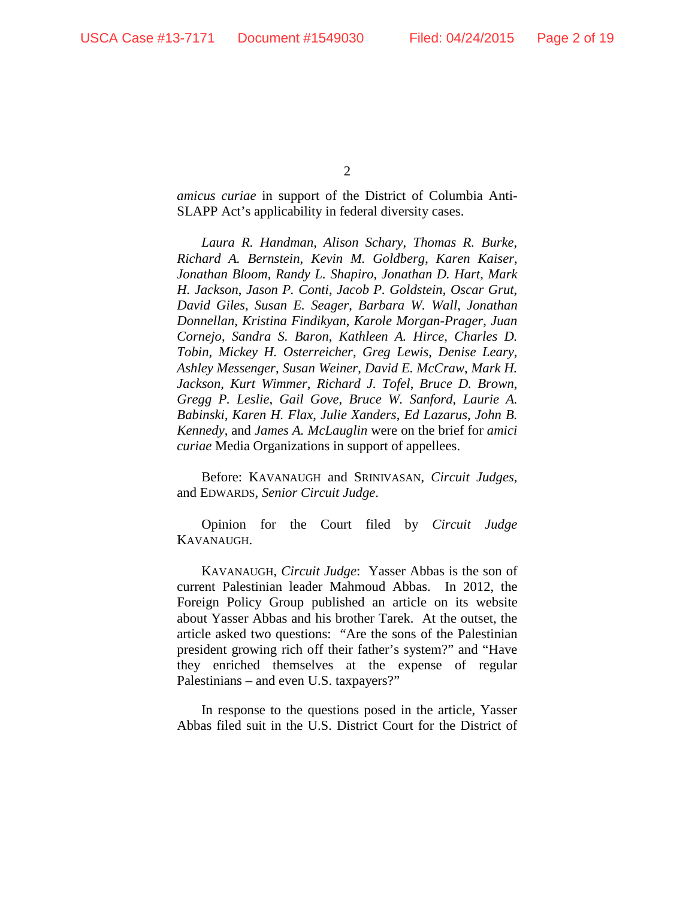$\mathcal{L}$ 

*amicus curiae* in support of the District of Columbia Anti-SLAPP Act's applicability in federal diversity cases.

*Laura R. Handman*, *Alison Schary*, *Thomas R. Burke*, *Richard A. Bernstein*, *Kevin M. Goldberg*, *Karen Kaiser*, *Jonathan Bloom*, *Randy L. Shapiro*, *Jonathan D. Hart*, *Mark H. Jackson*, *Jason P. Conti*, *Jacob P. Goldstein*, *Oscar Grut*, *David Giles*, *Susan E. Seager*, *Barbara W. Wall*, *Jonathan Donnellan*, *Kristina Findikyan*, *Karole Morgan-Prager*, *Juan Cornejo*, *Sandra S. Baron*, *Kathleen A. Hirce*, *Charles D. Tobin*, *Mickey H. Osterreicher*, *Greg Lewis*, *Denise Leary*, *Ashley Messenger*, *Susan Weiner*, *David E. McCraw*, *Mark H. Jackson*, *Kurt Wimmer*, *Richard J. Tofel*, *Bruce D. Brown*, *Gregg P. Leslie*, *Gail Gove*, *Bruce W. Sanford*, *Laurie A. Babinski*, *Karen H. Flax*, *Julie Xanders*, *Ed Lazarus*, *John B. Kennedy*, and *James A. McLauglin* were on the brief for *amici curiae* Media Organizations in support of appellees.

Before: KAVANAUGH and SRINIVASAN, *Circuit Judges*, and EDWARDS, *Senior Circuit Judge*.

Opinion for the Court filed by *Circuit Judge* KAVANAUGH.

KAVANAUGH, *Circuit Judge*: Yasser Abbas is the son of current Palestinian leader Mahmoud Abbas. In 2012, the Foreign Policy Group published an article on its website about Yasser Abbas and his brother Tarek. At the outset, the article asked two questions: "Are the sons of the Palestinian president growing rich off their father's system?" and "Have they enriched themselves at the expense of regular Palestinians – and even U.S. taxpayers?"

In response to the questions posed in the article, Yasser Abbas filed suit in the U.S. District Court for the District of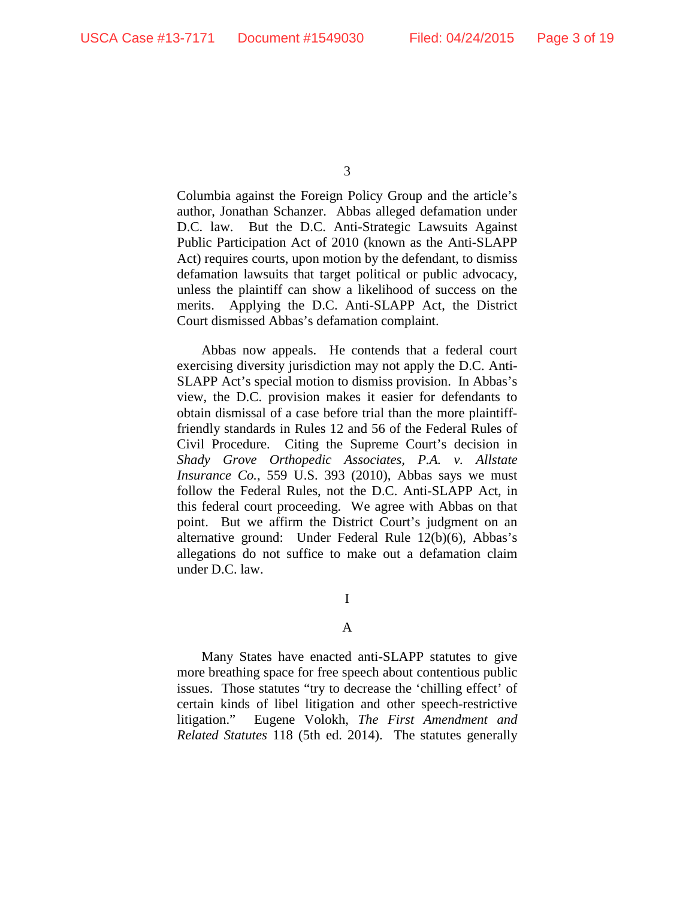Columbia against the Foreign Policy Group and the article's author, Jonathan Schanzer. Abbas alleged defamation under D.C. law. But the D.C. Anti-Strategic Lawsuits Against Public Participation Act of 2010 (known as the Anti-SLAPP Act) requires courts, upon motion by the defendant, to dismiss defamation lawsuits that target political or public advocacy, unless the plaintiff can show a likelihood of success on the merits. Applying the D.C. Anti-SLAPP Act, the District Court dismissed Abbas's defamation complaint.

Abbas now appeals. He contends that a federal court exercising diversity jurisdiction may not apply the D.C. Anti-SLAPP Act's special motion to dismiss provision. In Abbas's view, the D.C. provision makes it easier for defendants to obtain dismissal of a case before trial than the more plaintifffriendly standards in Rules 12 and 56 of the Federal Rules of Civil Procedure. Citing the Supreme Court's decision in *Shady Grove Orthopedic Associates, P.A. v. Allstate Insurance Co.*, 559 U.S. 393 (2010), Abbas says we must follow the Federal Rules, not the D.C. Anti-SLAPP Act, in this federal court proceeding. We agree with Abbas on that point. But we affirm the District Court's judgment on an alternative ground: Under Federal Rule 12(b)(6), Abbas's allegations do not suffice to make out a defamation claim under D.C. law.

I

## A

Many States have enacted anti-SLAPP statutes to give more breathing space for free speech about contentious public issues. Those statutes "try to decrease the 'chilling effect' of certain kinds of libel litigation and other speech-restrictive litigation." Eugene Volokh, *The First Amendment and Related Statutes* 118 (5th ed. 2014). The statutes generally

<sup>3</sup>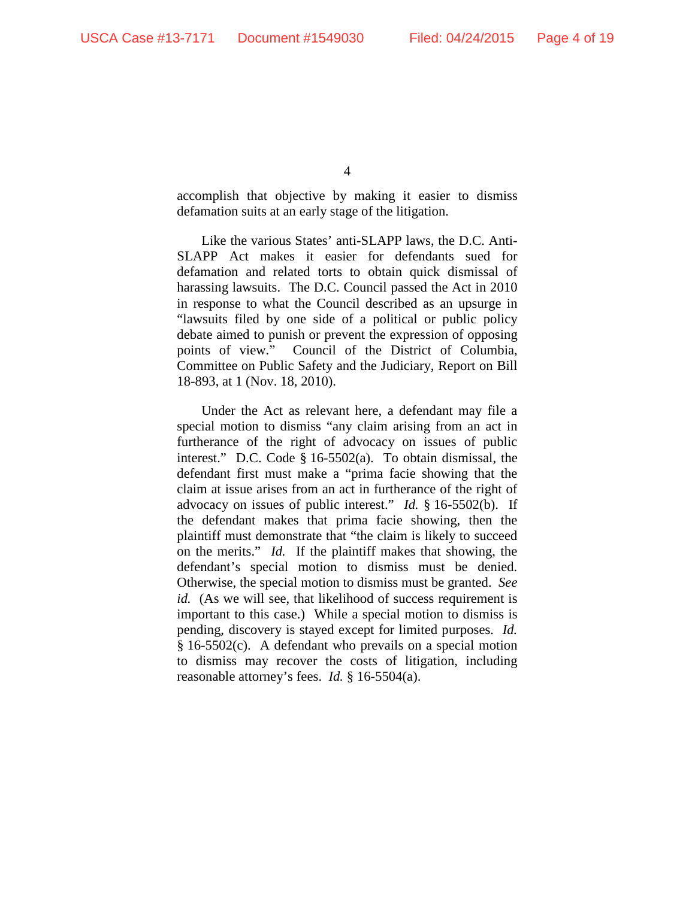accomplish that objective by making it easier to dismiss defamation suits at an early stage of the litigation.

Like the various States' anti-SLAPP laws, the D.C. Anti-SLAPP Act makes it easier for defendants sued for defamation and related torts to obtain quick dismissal of harassing lawsuits. The D.C. Council passed the Act in 2010 in response to what the Council described as an upsurge in "lawsuits filed by one side of a political or public policy debate aimed to punish or prevent the expression of opposing points of view." Council of the District of Columbia, Committee on Public Safety and the Judiciary, Report on Bill 18-893, at 1 (Nov. 18, 2010).

Under the Act as relevant here, a defendant may file a special motion to dismiss "any claim arising from an act in furtherance of the right of advocacy on issues of public interest." D.C. Code § 16-5502(a). To obtain dismissal, the defendant first must make a "prima facie showing that the claim at issue arises from an act in furtherance of the right of advocacy on issues of public interest." *Id.* § 16-5502(b). If the defendant makes that prima facie showing, then the plaintiff must demonstrate that "the claim is likely to succeed on the merits." *Id.* If the plaintiff makes that showing, the defendant's special motion to dismiss must be denied. Otherwise, the special motion to dismiss must be granted. *See id.* (As we will see, that likelihood of success requirement is important to this case.) While a special motion to dismiss is pending, discovery is stayed except for limited purposes. *Id.* § 16-5502(c). A defendant who prevails on a special motion to dismiss may recover the costs of litigation, including reasonable attorney's fees. *Id.* § 16-5504(a).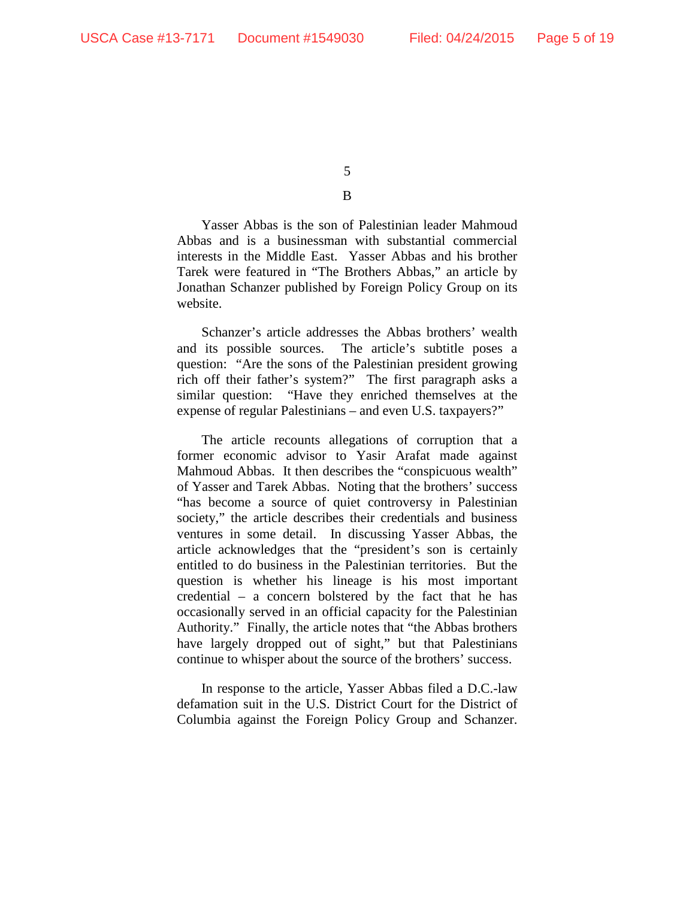B

Yasser Abbas is the son of Palestinian leader Mahmoud Abbas and is a businessman with substantial commercial interests in the Middle East. Yasser Abbas and his brother Tarek were featured in "The Brothers Abbas," an article by Jonathan Schanzer published by Foreign Policy Group on its website.

Schanzer's article addresses the Abbas brothers' wealth and its possible sources. The article's subtitle poses a question: "Are the sons of the Palestinian president growing rich off their father's system?" The first paragraph asks a similar question: "Have they enriched themselves at the expense of regular Palestinians – and even U.S. taxpayers?"

The article recounts allegations of corruption that a former economic advisor to Yasir Arafat made against Mahmoud Abbas. It then describes the "conspicuous wealth" of Yasser and Tarek Abbas. Noting that the brothers' success "has become a source of quiet controversy in Palestinian society," the article describes their credentials and business ventures in some detail. In discussing Yasser Abbas, the article acknowledges that the "president's son is certainly entitled to do business in the Palestinian territories. But the question is whether his lineage is his most important credential – a concern bolstered by the fact that he has occasionally served in an official capacity for the Palestinian Authority." Finally, the article notes that "the Abbas brothers have largely dropped out of sight," but that Palestinians continue to whisper about the source of the brothers' success.

In response to the article, Yasser Abbas filed a D.C.-law defamation suit in the U.S. District Court for the District of Columbia against the Foreign Policy Group and Schanzer.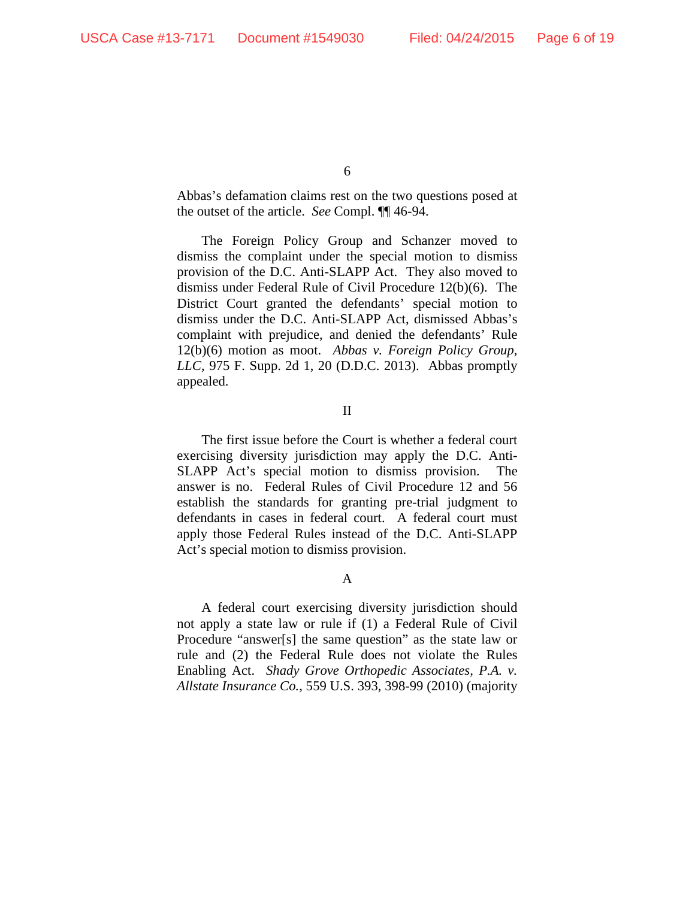Abbas's defamation claims rest on the two questions posed at the outset of the article. *See* Compl. ¶¶ 46-94.

The Foreign Policy Group and Schanzer moved to dismiss the complaint under the special motion to dismiss provision of the D.C. Anti-SLAPP Act. They also moved to dismiss under Federal Rule of Civil Procedure 12(b)(6). The District Court granted the defendants' special motion to dismiss under the D.C. Anti-SLAPP Act, dismissed Abbas's complaint with prejudice, and denied the defendants' Rule 12(b)(6) motion as moot. *Abbas v. Foreign Policy Group, LLC*, 975 F. Supp. 2d 1, 20 (D.D.C. 2013). Abbas promptly appealed.

II

The first issue before the Court is whether a federal court exercising diversity jurisdiction may apply the D.C. Anti-SLAPP Act's special motion to dismiss provision. The answer is no. Federal Rules of Civil Procedure 12 and 56 establish the standards for granting pre-trial judgment to defendants in cases in federal court. A federal court must apply those Federal Rules instead of the D.C. Anti-SLAPP Act's special motion to dismiss provision.

A

A federal court exercising diversity jurisdiction should not apply a state law or rule if (1) a Federal Rule of Civil Procedure "answer[s] the same question" as the state law or rule and (2) the Federal Rule does not violate the Rules Enabling Act. *Shady Grove Orthopedic Associates, P.A. v. Allstate Insurance Co.*, 559 U.S. 393, 398-99 (2010) (majority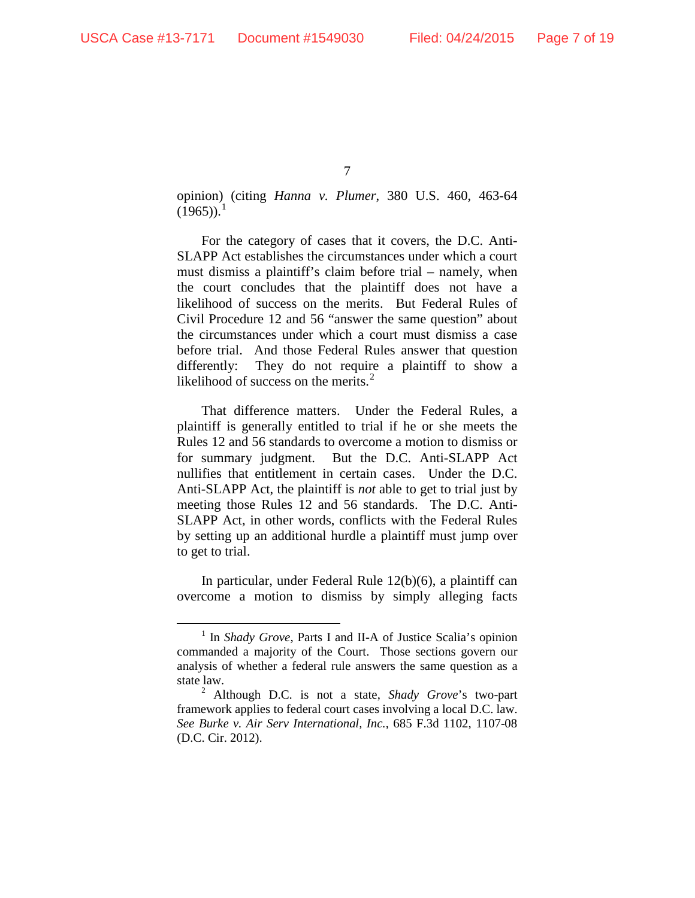opinion) (citing *Hanna v. Plumer*, 380 U.S. 460, 463-64  $(1965)$ <sup>1</sup>

For the category of cases that it covers, the D.C. Anti-SLAPP Act establishes the circumstances under which a court must dismiss a plaintiff's claim before trial – namely, when the court concludes that the plaintiff does not have a likelihood of success on the merits. But Federal Rules of Civil Procedure 12 and 56 "answer the same question" about the circumstances under which a court must dismiss a case before trial. And those Federal Rules answer that question differently: They do not require a plaintiff to show a likelihood of success on the merits.<sup>2</sup>

That difference matters. Under the Federal Rules, a plaintiff is generally entitled to trial if he or she meets the Rules 12 and 56 standards to overcome a motion to dismiss or for summary judgment. But the D.C. Anti-SLAPP Act nullifies that entitlement in certain cases. Under the D.C. Anti-SLAPP Act, the plaintiff is *not* able to get to trial just by meeting those Rules 12 and 56 standards. The D.C. Anti-SLAPP Act, in other words, conflicts with the Federal Rules by setting up an additional hurdle a plaintiff must jump over to get to trial.

In particular, under Federal Rule 12(b)(6), a plaintiff can overcome a motion to dismiss by simply alleging facts

 <sup>1</sup> In *Shady Grove*, Parts I and II-A of Justice Scalia's opinion commanded a majority of the Court. Those sections govern our analysis of whether a federal rule answers the same question as a state law. 2 Although D.C. is not a state, *Shady Grove*'s two-part

framework applies to federal court cases involving a local D.C. law. *See Burke v. Air Serv International, Inc.*, 685 F.3d 1102, 1107-08 (D.C. Cir. 2012).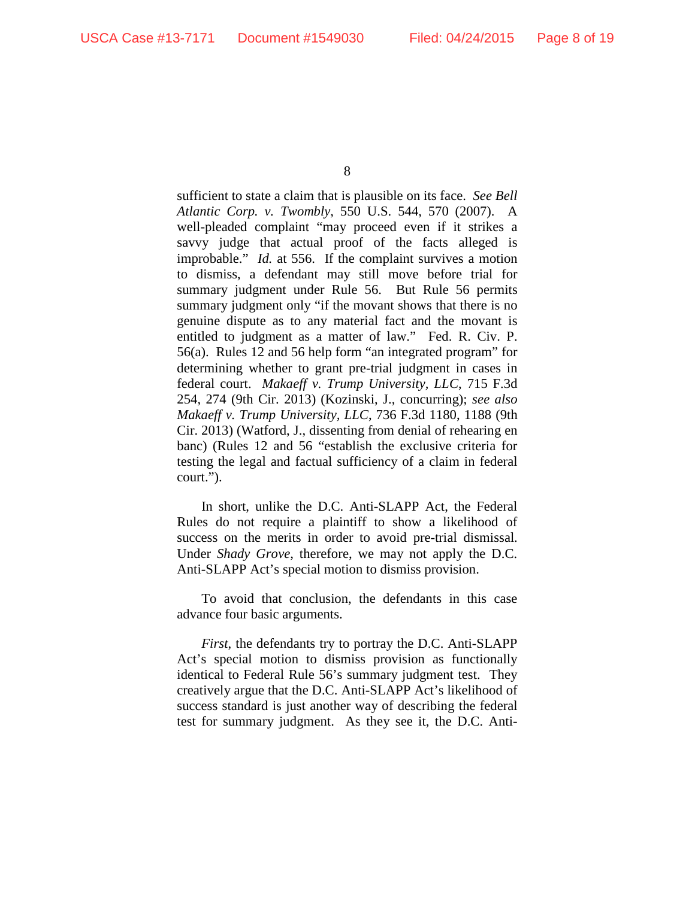sufficient to state a claim that is plausible on its face. *See Bell Atlantic Corp. v. Twombly*, 550 U.S. 544, 570 (2007). A well-pleaded complaint "may proceed even if it strikes a savvy judge that actual proof of the facts alleged is improbable." *Id.* at 556. If the complaint survives a motion to dismiss, a defendant may still move before trial for summary judgment under Rule 56. But Rule 56 permits summary judgment only "if the movant shows that there is no genuine dispute as to any material fact and the movant is entitled to judgment as a matter of law." Fed. R. Civ. P. 56(a). Rules 12 and 56 help form "an integrated program" for determining whether to grant pre-trial judgment in cases in federal court. *Makaeff v. Trump University, LLC*, 715 F.3d 254, 274 (9th Cir. 2013) (Kozinski, J., concurring); *see also Makaeff v. Trump University, LLC*, 736 F.3d 1180, 1188 (9th Cir. 2013) (Watford, J., dissenting from denial of rehearing en banc) (Rules 12 and 56 "establish the exclusive criteria for testing the legal and factual sufficiency of a claim in federal court.").

In short, unlike the D.C. Anti-SLAPP Act, the Federal Rules do not require a plaintiff to show a likelihood of success on the merits in order to avoid pre-trial dismissal. Under *Shady Grove*, therefore, we may not apply the D.C. Anti-SLAPP Act's special motion to dismiss provision.

To avoid that conclusion, the defendants in this case advance four basic arguments.

*First*, the defendants try to portray the D.C. Anti-SLAPP Act's special motion to dismiss provision as functionally identical to Federal Rule 56's summary judgment test. They creatively argue that the D.C. Anti-SLAPP Act's likelihood of success standard is just another way of describing the federal test for summary judgment. As they see it, the D.C. Anti-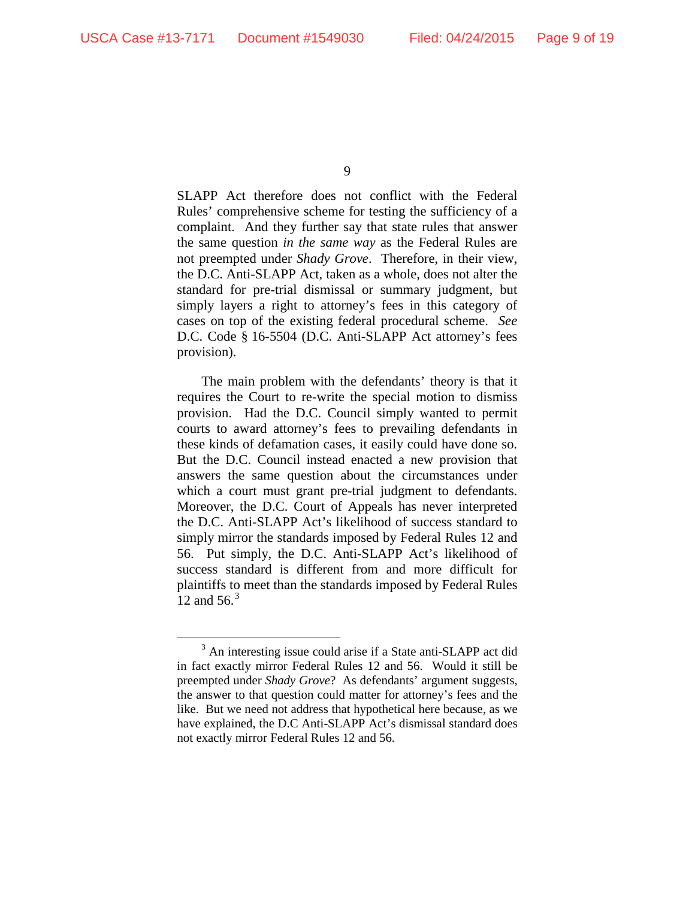SLAPP Act therefore does not conflict with the Federal Rules' comprehensive scheme for testing the sufficiency of a complaint. And they further say that state rules that answer the same question *in the same way* as the Federal Rules are not preempted under *Shady Grove*. Therefore, in their view, the D.C. Anti-SLAPP Act, taken as a whole, does not alter the standard for pre-trial dismissal or summary judgment, but simply layers a right to attorney's fees in this category of cases on top of the existing federal procedural scheme. *See*  D.C. Code § 16-5504 (D.C. Anti-SLAPP Act attorney's fees provision).

The main problem with the defendants' theory is that it requires the Court to re-write the special motion to dismiss provision. Had the D.C. Council simply wanted to permit courts to award attorney's fees to prevailing defendants in these kinds of defamation cases, it easily could have done so. But the D.C. Council instead enacted a new provision that answers the same question about the circumstances under which a court must grant pre-trial judgment to defendants. Moreover, the D.C. Court of Appeals has never interpreted the D.C. Anti-SLAPP Act's likelihood of success standard to simply mirror the standards imposed by Federal Rules 12 and 56. Put simply, the D.C. Anti-SLAPP Act's likelihood of success standard is different from and more difficult for plaintiffs to meet than the standards imposed by Federal Rules 12 and  $56<sup>3</sup>$ 

<sup>&</sup>lt;sup>3</sup> An interesting issue could arise if a State anti-SLAPP act did in fact exactly mirror Federal Rules 12 and 56. Would it still be preempted under *Shady Grove*? As defendants' argument suggests, the answer to that question could matter for attorney's fees and the like. But we need not address that hypothetical here because, as we have explained, the D.C Anti-SLAPP Act's dismissal standard does not exactly mirror Federal Rules 12 and 56.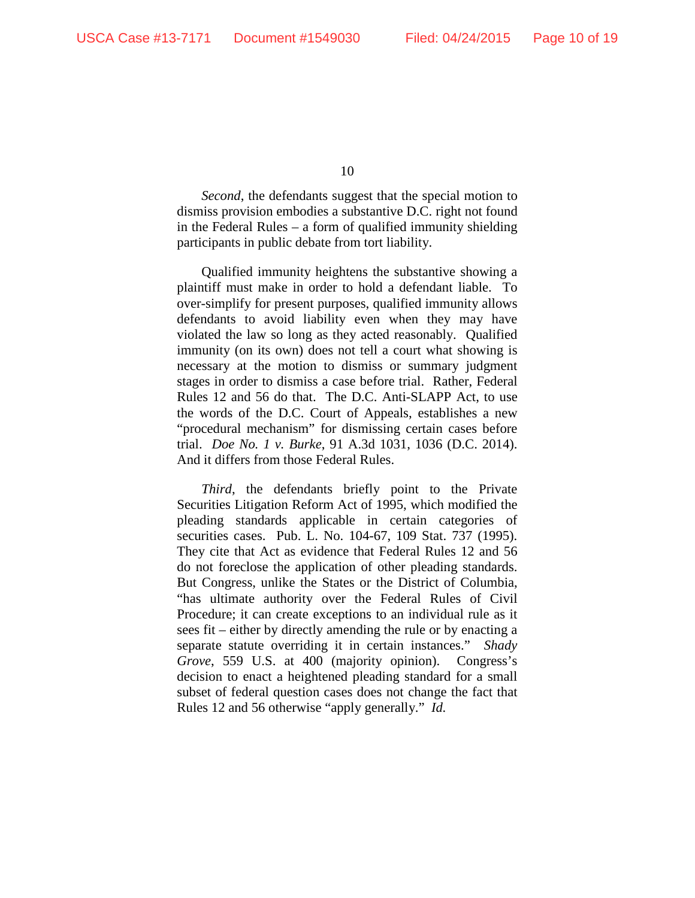*Second*, the defendants suggest that the special motion to dismiss provision embodies a substantive D.C. right not found in the Federal Rules – a form of qualified immunity shielding participants in public debate from tort liability.

Qualified immunity heightens the substantive showing a plaintiff must make in order to hold a defendant liable. To over-simplify for present purposes, qualified immunity allows defendants to avoid liability even when they may have violated the law so long as they acted reasonably. Qualified immunity (on its own) does not tell a court what showing is necessary at the motion to dismiss or summary judgment stages in order to dismiss a case before trial. Rather, Federal Rules 12 and 56 do that. The D.C. Anti-SLAPP Act, to use the words of the D.C. Court of Appeals, establishes a new "procedural mechanism" for dismissing certain cases before trial. *Doe No. 1 v. Burke*, 91 A.3d 1031, 1036 (D.C. 2014). And it differs from those Federal Rules.

*Third*, the defendants briefly point to the Private Securities Litigation Reform Act of 1995, which modified the pleading standards applicable in certain categories of securities cases. Pub. L. No. 104-67, 109 Stat. 737 (1995). They cite that Act as evidence that Federal Rules 12 and 56 do not foreclose the application of other pleading standards. But Congress, unlike the States or the District of Columbia, "has ultimate authority over the Federal Rules of Civil Procedure; it can create exceptions to an individual rule as it sees fit – either by directly amending the rule or by enacting a separate statute overriding it in certain instances." *Shady Grove*, 559 U.S. at 400 (majority opinion). Congress's decision to enact a heightened pleading standard for a small subset of federal question cases does not change the fact that Rules 12 and 56 otherwise "apply generally." *Id.*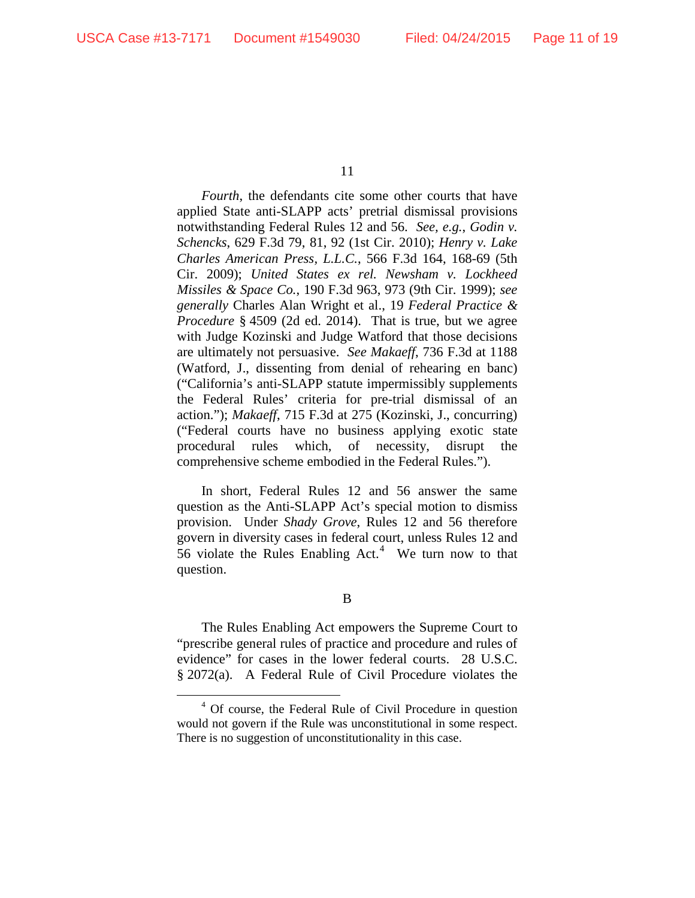*Fourth*, the defendants cite some other courts that have applied State anti-SLAPP acts' pretrial dismissal provisions notwithstanding Federal Rules 12 and 56. *See, e.g.*, *Godin v. Schencks*, 629 F.3d 79, 81, 92 (1st Cir. 2010); *Henry v. Lake Charles American Press, L.L.C.*, 566 F.3d 164, 168-69 (5th Cir. 2009); *United States ex rel. Newsham v. Lockheed Missiles & Space Co.*, 190 F.3d 963, 973 (9th Cir. 1999); *see generally* Charles Alan Wright et al., 19 *Federal Practice & Procedure* § 4509 (2d ed. 2014). That is true, but we agree with Judge Kozinski and Judge Watford that those decisions are ultimately not persuasive. *See Makaeff*, 736 F.3d at 1188 (Watford, J., dissenting from denial of rehearing en banc) ("California's anti-SLAPP statute impermissibly supplements the Federal Rules' criteria for pre-trial dismissal of an action."); *Makaeff*, 715 F.3d at 275 (Kozinski, J., concurring) ("Federal courts have no business applying exotic state procedural rules which, of necessity, disrupt the comprehensive scheme embodied in the Federal Rules.").

In short, Federal Rules 12 and 56 answer the same question as the Anti-SLAPP Act's special motion to dismiss provision. Under *Shady Grove*, Rules 12 and 56 therefore govern in diversity cases in federal court, unless Rules 12 and  $56$  violate the Rules Enabling Act.<sup>4</sup> We turn now to that question.

B

The Rules Enabling Act empowers the Supreme Court to "prescribe general rules of practice and procedure and rules of evidence" for cases in the lower federal courts. 28 U.S.C. § 2072(a). A Federal Rule of Civil Procedure violates the

 <sup>4</sup> Of course, the Federal Rule of Civil Procedure in question would not govern if the Rule was unconstitutional in some respect. There is no suggestion of unconstitutionality in this case.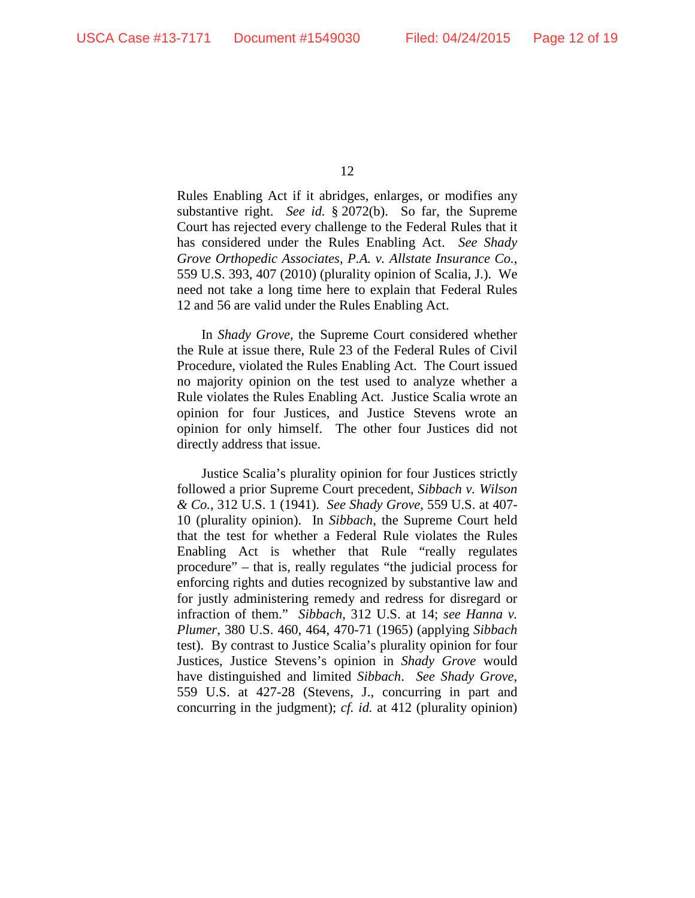Rules Enabling Act if it abridges, enlarges, or modifies any substantive right. *See id.* § 2072(b). So far, the Supreme Court has rejected every challenge to the Federal Rules that it has considered under the Rules Enabling Act. *See Shady Grove Orthopedic Associates, P.A. v. Allstate Insurance Co.*, 559 U.S. 393, 407 (2010) (plurality opinion of Scalia, J.). We need not take a long time here to explain that Federal Rules 12 and 56 are valid under the Rules Enabling Act.

In *Shady Grove*, the Supreme Court considered whether the Rule at issue there, Rule 23 of the Federal Rules of Civil Procedure, violated the Rules Enabling Act. The Court issued no majority opinion on the test used to analyze whether a Rule violates the Rules Enabling Act. Justice Scalia wrote an opinion for four Justices, and Justice Stevens wrote an opinion for only himself. The other four Justices did not directly address that issue.

Justice Scalia's plurality opinion for four Justices strictly followed a prior Supreme Court precedent, *Sibbach v. Wilson & Co.*, 312 U.S. 1 (1941). *See Shady Grove*, 559 U.S. at 407- 10 (plurality opinion). In *Sibbach*, the Supreme Court held that the test for whether a Federal Rule violates the Rules Enabling Act is whether that Rule "really regulates procedure" – that is, really regulates "the judicial process for enforcing rights and duties recognized by substantive law and for justly administering remedy and redress for disregard or infraction of them." *Sibbach*, 312 U.S. at 14; *see Hanna v. Plumer*, 380 U.S. 460, 464, 470-71 (1965) (applying *Sibbach*  test). By contrast to Justice Scalia's plurality opinion for four Justices, Justice Stevens's opinion in *Shady Grove* would have distinguished and limited *Sibbach*. *See Shady Grove*, 559 U.S. at 427-28 (Stevens, J., concurring in part and concurring in the judgment); *cf. id.* at 412 (plurality opinion)

<sup>12</sup>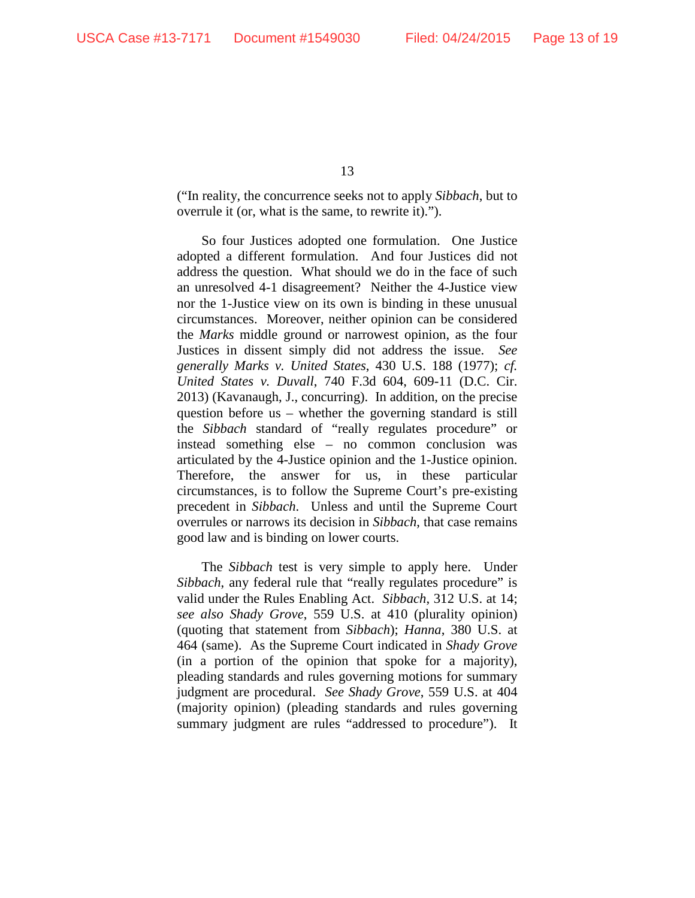("In reality, the concurrence seeks not to apply *Sibbach*, but to overrule it (or, what is the same, to rewrite it).").

So four Justices adopted one formulation. One Justice adopted a different formulation. And four Justices did not address the question. What should we do in the face of such an unresolved 4-1 disagreement? Neither the 4-Justice view nor the 1-Justice view on its own is binding in these unusual circumstances. Moreover, neither opinion can be considered the *Marks* middle ground or narrowest opinion, as the four Justices in dissent simply did not address the issue. *See generally Marks v. United States*, 430 U.S. 188 (1977); *cf. United States v. Duvall*, 740 F.3d 604, 609-11 (D.C. Cir. 2013) (Kavanaugh, J., concurring). In addition, on the precise question before us – whether the governing standard is still the *Sibbach* standard of "really regulates procedure" or instead something else – no common conclusion was articulated by the 4-Justice opinion and the 1-Justice opinion. Therefore, the answer for us, in these particular circumstances, is to follow the Supreme Court's pre-existing precedent in *Sibbach*. Unless and until the Supreme Court overrules or narrows its decision in *Sibbach*, that case remains good law and is binding on lower courts.

The *Sibbach* test is very simple to apply here. Under *Sibbach*, any federal rule that "really regulates procedure" is valid under the Rules Enabling Act. *Sibbach*, 312 U.S. at 14; *see also Shady Grove*, 559 U.S. at 410 (plurality opinion) (quoting that statement from *Sibbach*); *Hanna*, 380 U.S. at 464 (same). As the Supreme Court indicated in *Shady Grove*  (in a portion of the opinion that spoke for a majority), pleading standards and rules governing motions for summary judgment are procedural. *See Shady Grove*, 559 U.S. at 404 (majority opinion) (pleading standards and rules governing summary judgment are rules "addressed to procedure"). It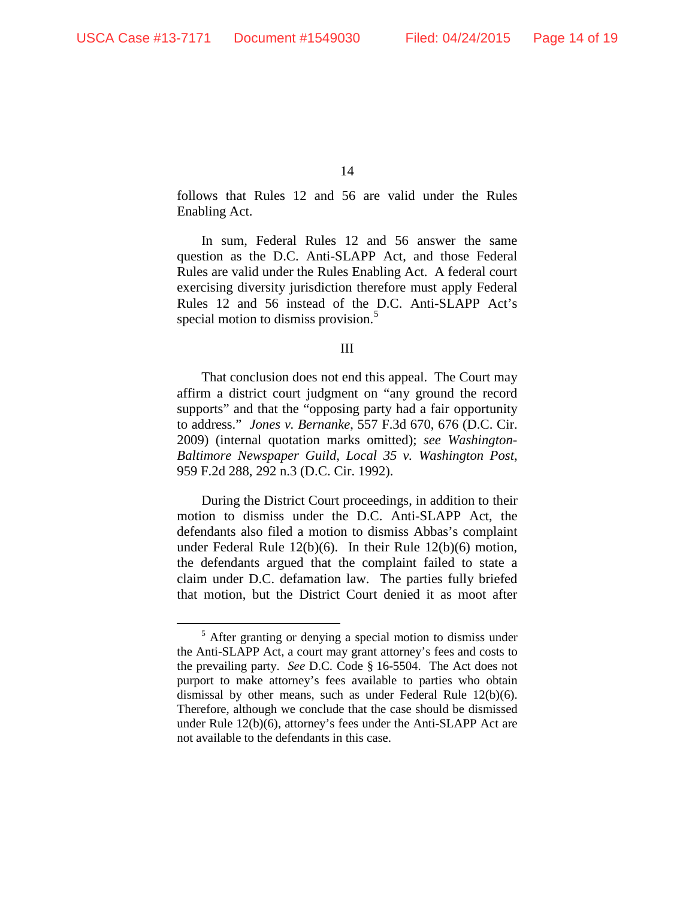follows that Rules 12 and 56 are valid under the Rules Enabling Act.

In sum, Federal Rules 12 and 56 answer the same question as the D.C. Anti-SLAPP Act, and those Federal Rules are valid under the Rules Enabling Act. A federal court exercising diversity jurisdiction therefore must apply Federal Rules 12 and 56 instead of the D.C. Anti-SLAPP Act's special motion to dismiss provision.<sup>5</sup>

## III

That conclusion does not end this appeal. The Court may affirm a district court judgment on "any ground the record supports" and that the "opposing party had a fair opportunity to address." *Jones v. Bernanke*, 557 F.3d 670, 676 (D.C. Cir. 2009) (internal quotation marks omitted); *see Washington-Baltimore Newspaper Guild, Local 35 v. Washington Post*, 959 F.2d 288, 292 n.3 (D.C. Cir. 1992).

During the District Court proceedings, in addition to their motion to dismiss under the D.C. Anti-SLAPP Act, the defendants also filed a motion to dismiss Abbas's complaint under Federal Rule 12(b)(6). In their Rule 12(b)(6) motion, the defendants argued that the complaint failed to state a claim under D.C. defamation law. The parties fully briefed that motion, but the District Court denied it as moot after

 $<sup>5</sup>$  After granting or denying a special motion to dismiss under</sup> the Anti-SLAPP Act, a court may grant attorney's fees and costs to the prevailing party. *See* D.C. Code § 16-5504. The Act does not purport to make attorney's fees available to parties who obtain dismissal by other means, such as under Federal Rule 12(b)(6). Therefore, although we conclude that the case should be dismissed under Rule 12(b)(6), attorney's fees under the Anti-SLAPP Act are not available to the defendants in this case.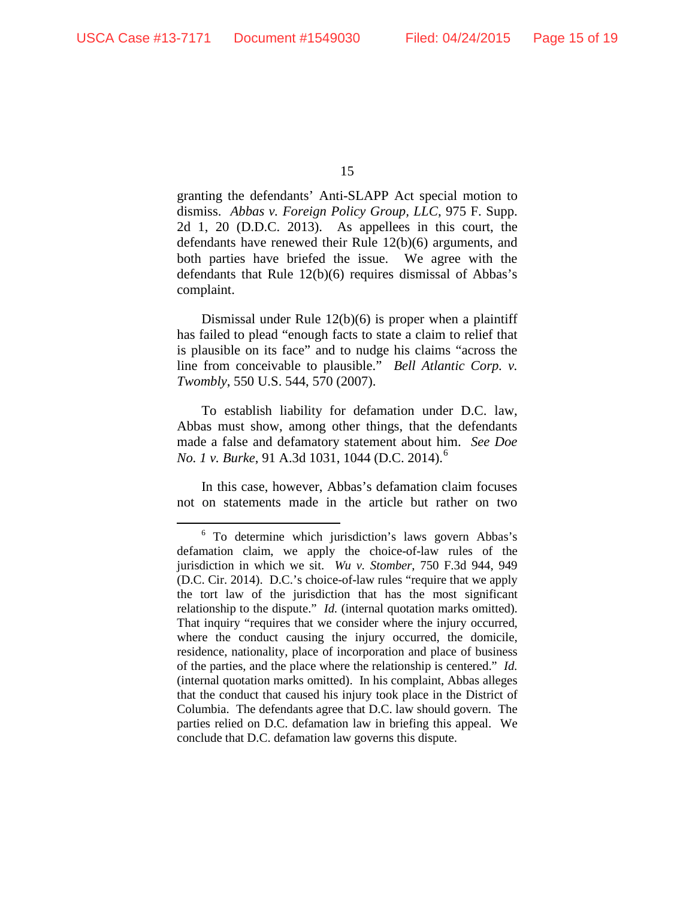granting the defendants' Anti-SLAPP Act special motion to dismiss. *Abbas v. Foreign Policy Group, LLC*, 975 F. Supp. 2d 1, 20 (D.D.C. 2013).As appellees in this court, the defendants have renewed their Rule 12(b)(6) arguments, and both parties have briefed the issue. We agree with the defendants that Rule 12(b)(6) requires dismissal of Abbas's complaint.

Dismissal under Rule 12(b)(6) is proper when a plaintiff has failed to plead "enough facts to state a claim to relief that is plausible on its face" and to nudge his claims "across the line from conceivable to plausible." *Bell Atlantic Corp. v. Twombly*, 550 U.S. 544, 570 (2007).

To establish liability for defamation under D.C. law, Abbas must show, among other things, that the defendants made a false and defamatory statement about him. *See Doe No. 1 v. Burke*, 91 A.3d 1031, 1044 (D.C. 2014). 6

In this case, however, Abbas's defamation claim focuses not on statements made in the article but rather on two

 $6$  To determine which jurisdiction's laws govern Abbas's defamation claim, we apply the choice-of-law rules of the jurisdiction in which we sit. *Wu v. Stomber*, 750 F.3d 944, 949 (D.C. Cir. 2014). D.C.'s choice-of-law rules "require that we apply the tort law of the jurisdiction that has the most significant relationship to the dispute." *Id.* (internal quotation marks omitted). That inquiry "requires that we consider where the injury occurred, where the conduct causing the injury occurred, the domicile, residence, nationality, place of incorporation and place of business of the parties, and the place where the relationship is centered." *Id.* (internal quotation marks omitted). In his complaint, Abbas alleges that the conduct that caused his injury took place in the District of Columbia. The defendants agree that D.C. law should govern. The parties relied on D.C. defamation law in briefing this appeal. We conclude that D.C. defamation law governs this dispute.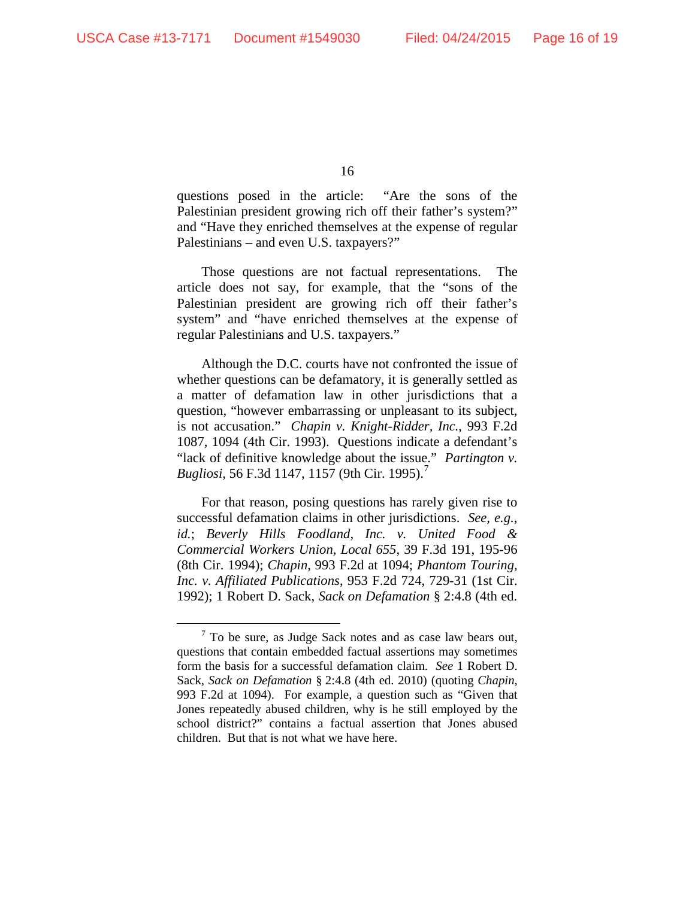questions posed in the article: "Are the sons of the Palestinian president growing rich off their father's system?" and "Have they enriched themselves at the expense of regular Palestinians – and even U.S. taxpayers?"

Those questions are not factual representations. The article does not say, for example, that the "sons of the Palestinian president are growing rich off their father's system" and "have enriched themselves at the expense of regular Palestinians and U.S. taxpayers."

Although the D.C. courts have not confronted the issue of whether questions can be defamatory, it is generally settled as a matter of defamation law in other jurisdictions that a question, "however embarrassing or unpleasant to its subject, is not accusation." *Chapin v. Knight-Ridder, Inc.*, 993 F.2d 1087, 1094 (4th Cir. 1993). Questions indicate a defendant's "lack of definitive knowledge about the issue." *Partington v. Bugliosi*, 56 F.3d 1147, 1157 (9th Cir. 1995). 7

For that reason, posing questions has rarely given rise to successful defamation claims in other jurisdictions. *See, e.g.*, *id.*; *Beverly Hills Foodland, Inc. v. United Food & Commercial Workers Union, Local 655*, 39 F.3d 191, 195-96 (8th Cir. 1994); *Chapin*, 993 F.2d at 1094; *Phantom Touring, Inc. v. Affiliated Publications*, 953 F.2d 724, 729-31 (1st Cir. 1992); 1 Robert D. Sack, *Sack on Defamation* § 2:4.8 (4th ed.

 $7$  To be sure, as Judge Sack notes and as case law bears out, questions that contain embedded factual assertions may sometimes form the basis for a successful defamation claim. *See* 1 Robert D. Sack, *Sack on Defamation* § 2:4.8 (4th ed. 2010) (quoting *Chapin*, 993 F.2d at 1094). For example, a question such as "Given that Jones repeatedly abused children, why is he still employed by the school district?" contains a factual assertion that Jones abused children. But that is not what we have here.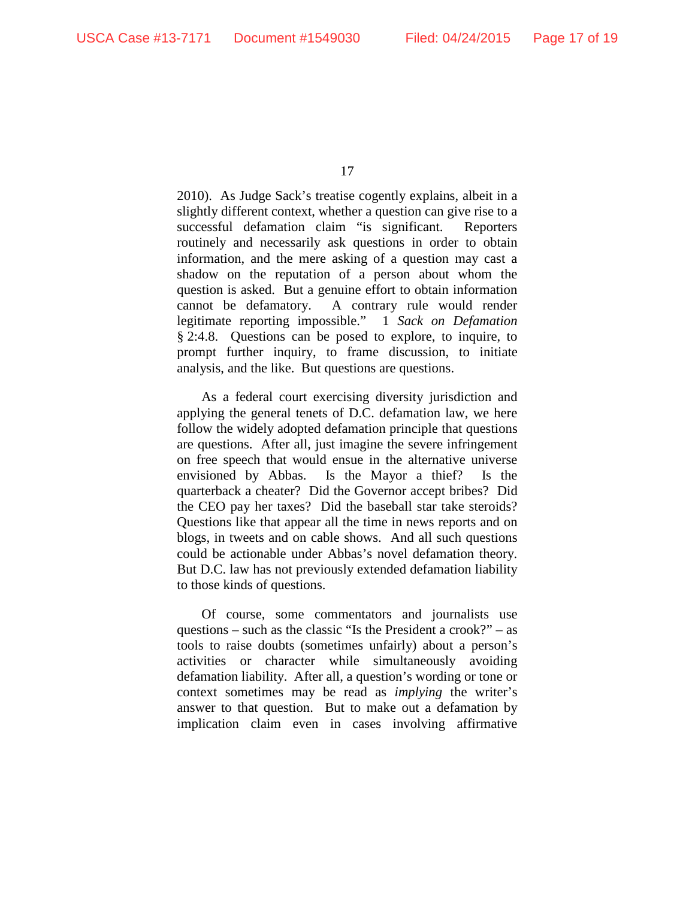2010). As Judge Sack's treatise cogently explains, albeit in a slightly different context, whether a question can give rise to a successful defamation claim "is significant. Reporters routinely and necessarily ask questions in order to obtain information, and the mere asking of a question may cast a shadow on the reputation of a person about whom the question is asked. But a genuine effort to obtain information cannot be defamatory. A contrary rule would render legitimate reporting impossible." 1 *Sack on Defamation*  § 2:4.8. Questions can be posed to explore, to inquire, to prompt further inquiry, to frame discussion, to initiate analysis, and the like. But questions are questions.

As a federal court exercising diversity jurisdiction and applying the general tenets of D.C. defamation law, we here follow the widely adopted defamation principle that questions are questions. After all, just imagine the severe infringement on free speech that would ensue in the alternative universe envisioned by Abbas. Is the Mayor a thief? Is the quarterback a cheater? Did the Governor accept bribes? Did the CEO pay her taxes? Did the baseball star take steroids? Questions like that appear all the time in news reports and on blogs, in tweets and on cable shows. And all such questions could be actionable under Abbas's novel defamation theory. But D.C. law has not previously extended defamation liability to those kinds of questions.

Of course, some commentators and journalists use questions – such as the classic "Is the President a crook?" – as tools to raise doubts (sometimes unfairly) about a person's activities or character while simultaneously avoiding defamation liability. After all, a question's wording or tone or context sometimes may be read as *implying* the writer's answer to that question. But to make out a defamation by implication claim even in cases involving affirmative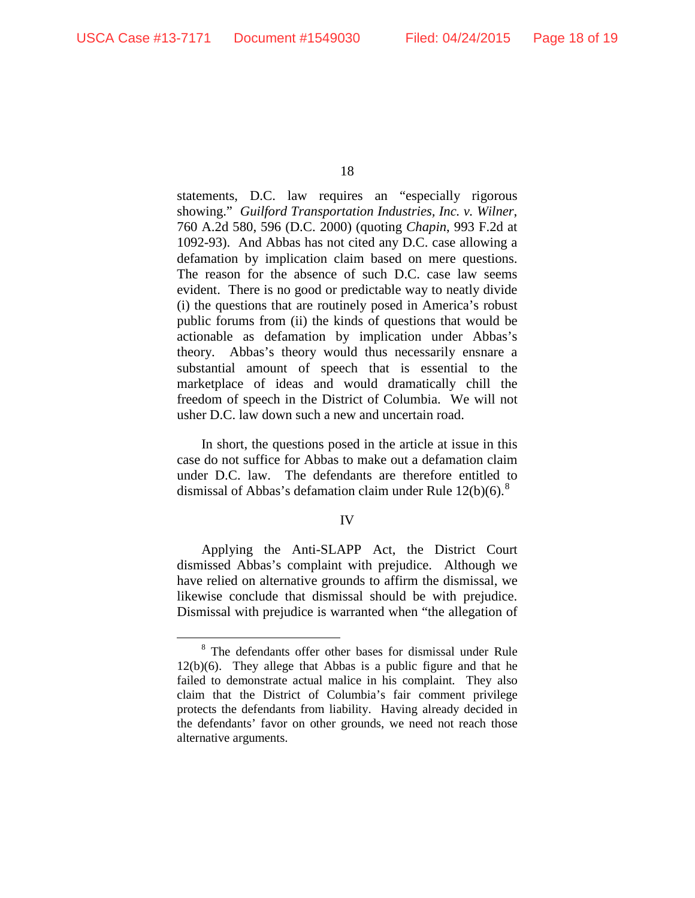statements, D.C. law requires an "especially rigorous showing." *Guilford Transportation Industries, Inc. v. Wilner*, 760 A.2d 580, 596 (D.C. 2000) (quoting *Chapin*, 993 F.2d at 1092-93). And Abbas has not cited any D.C. case allowing a defamation by implication claim based on mere questions. The reason for the absence of such D.C. case law seems evident. There is no good or predictable way to neatly divide (i) the questions that are routinely posed in America's robust public forums from (ii) the kinds of questions that would be actionable as defamation by implication under Abbas's theory. Abbas's theory would thus necessarily ensnare a substantial amount of speech that is essential to the marketplace of ideas and would dramatically chill the freedom of speech in the District of Columbia. We will not usher D.C. law down such a new and uncertain road.

In short, the questions posed in the article at issue in this case do not suffice for Abbas to make out a defamation claim under D.C. law. The defendants are therefore entitled to dismissal of Abbas's defamation claim under Rule  $12(b)(6)$ .<sup>8</sup>

## IV

Applying the Anti-SLAPP Act, the District Court dismissed Abbas's complaint with prejudice. Although we have relied on alternative grounds to affirm the dismissal, we likewise conclude that dismissal should be with prejudice. Dismissal with prejudice is warranted when "the allegation of

 <sup>8</sup> The defendants offer other bases for dismissal under Rule 12(b)(6). They allege that Abbas is a public figure and that he failed to demonstrate actual malice in his complaint. They also claim that the District of Columbia's fair comment privilege protects the defendants from liability. Having already decided in the defendants' favor on other grounds, we need not reach those alternative arguments.